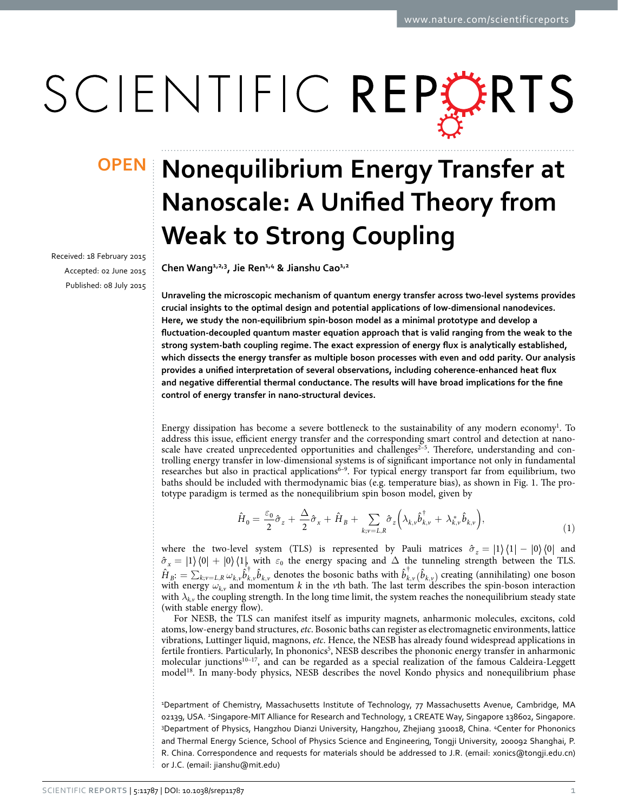# SCIENTIFIC REPERTS

received: 18 February 2015 accepted: 02 June 2015 Published: 08 July 2015

## **Nonequilibrium Energy Transfer at OPENNanoscale: A Unified Theory from Weak to Strong Coupling**

**Chen Wang1,2,3 , Jie Ren1,4 & Jianshu Cao1,2**

**Unraveling the microscopic mechanism of quantum energy transfer across two-level systems provides crucial insights to the optimal design and potential applications of low-dimensional nanodevices. Here, we study the non-equilibrium spin-boson model as a minimal prototype and develop a fluctuation-decoupled quantum master equation approach that is valid ranging from the weak to the strong system-bath coupling regime. The exact expression of energy flux is analytically established, which dissects the energy transfer as multiple boson processes with even and odd parity. Our analysis provides a unified interpretation of several observations, including coherence-enhanced heat flux and negative differential thermal conductance. The results will have broad implications for the fine control of energy transfer in nano-structural devices.**

Energy dissipation has become a severe bottleneck to the sustainability of any modern economy<sup>1</sup>. To address this issue, efficient energy transfer and the corresponding smart control and detection at nanoscale have created unprecedented opportunities and challenges<sup>2-5</sup>. Therefore, understanding and controlling energy transfer in low-dimensional systems is of significant importance not only in fundamental researches but also in practical applications<sup>6–9</sup>. For typical energy transport far from equilibrium, two baths should be included with thermodynamic bias (e.g. temperature bias), as shown in [Fig. 1](#page-1-0). The prototype paradigm is termed as the nonequilibrium spin boson model, given by

$$
\hat{H}_0 = \frac{\varepsilon_0}{2}\hat{\sigma}_z + \frac{\Delta}{2}\hat{\sigma}_x + \hat{H}_B + \sum_{k; \nu = L, R} \hat{\sigma}_z \left(\lambda_{k, \nu} \hat{b}_{k, \nu}^\dagger + \lambda_{k, \nu}^* \hat{b}_{k, \nu}\right),\tag{1}
$$

where the two-level system (TLS) is represented by Pauli matrices  $\hat{\sigma}_z = |1\rangle\langle 1| - |0\rangle\langle 0|$  and  $\hat{\sigma}_x = |1\rangle\langle 0| + |0\rangle\langle 1|$ , with  $\varepsilon_0$  the energy spacing and  $\Delta$  the tunneling strength between the TLS.  $\hat{H}_{B}:=\sum_{k;v=L,R}\omega_{k,v}\hat{b}_{k,v}^{\dag}\hat{b}_{k,v}$  denotes the bosonic baths with  $\hat{b}_{k,v}^{\dag}(\hat{b}_{k,v})$  creating (annihilating) one boson with energy  $\omega_{k,v}$  and momentum *k* in the *v*th bath. The last term describes the spin-boson interaction with  $\lambda_{k,\nu}$  the coupling strength. In the long time limit, the system reaches the nonequilibrium steady state (with stable energy flow).

For NESB, the TLS can manifest itself as impurity magnets, anharmonic molecules, excitons, cold atoms, low-energy band structures, *etc*. Bosonic baths can register as electromagnetic environments, lattice vibrations, Luttinger liquid, magnons, *etc*. Hence, the NESB has already found widespread applications in fertile frontiers. Particularly, In phononics<sup>[5](#page-8-3)</sup>, NESB describes the phononic energy transfer in anharmonic molecular junctions<sup>10-17</sup>, and can be regarded as a special realization of the famous Caldeira-Leggett model[18.](#page-8-5) In many-body physics, NESB describes the novel Kondo physics and nonequilibrium phase

1 Department of Chemistry, Massachusetts Institute of Technology, 77 Massachusetts Avenue, Cambridge, MA 02139, USA. <sup>2</sup>Singapore-MIT Alliance for Research and Technology, 1 CREATE Way, Singapore 138602, Singapore. 3 Department of Physics, Hangzhou Dianzi University, Hangzhou, Zhejiang 310018, China. 4 Center for Phononics and Thermal Energy Science, School of Physics Science and Engineering, Tongji University, 200092 Shanghai, P. R. China. Correspondence and requests for materials should be addressed to J.R. (email: [xonics@tongji.edu.cn](mailto:xonics@tongji.edu.cn)) or J.C. (email: [jianshu@mit.edu](mailto:jianshu@mit.edu))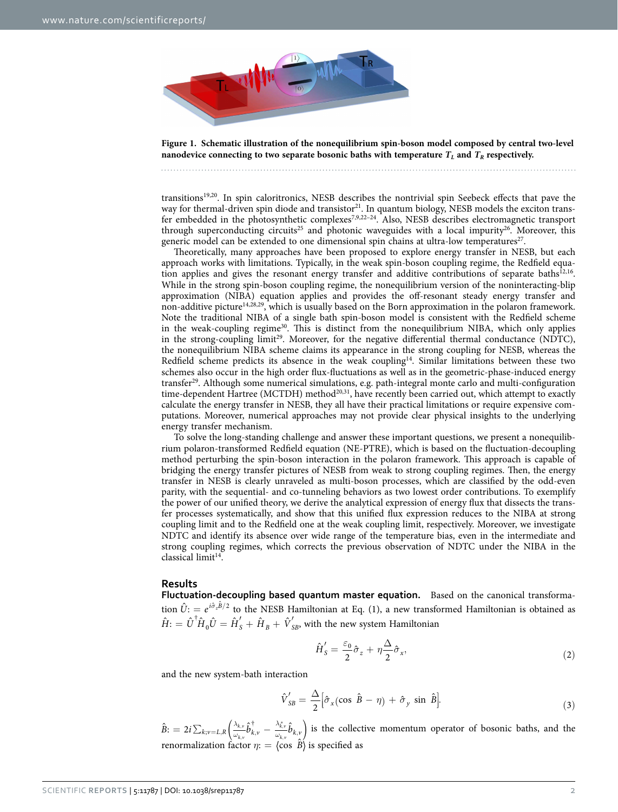

<span id="page-1-0"></span>**Figure 1. Schematic illustration of the nonequilibrium spin-boson model composed by central two-level nanodevice connecting to two separate bosonic baths with temperature**  $T_L$  **and**  $T_R$  **respectively.** 

transition[s19](#page-8-6)[,20](#page-8-7). In spin caloritronics, NESB describes the nontrivial spin Seebeck effects that pave the way for thermal-driven spin diode and transistor<sup>21</sup>. In quantum biology, NESB models the exciton trans-fer embedded in the photosynthetic complexes<sup>[7,](#page-8-9)[9](#page-8-10),22-24</sup>. Also, NESB describes electromagnetic transport through superconducting circuits<sup>25</sup> and photonic waveguides with a local impurity<sup>26</sup>. Moreover, this generic model can be extended to one dimensional spin chains at ultra-low temperatures<sup>27</sup>.

Theoretically, many approaches have been proposed to explore energy transfer in NESB, but each approach works with limitations. Typically, in the weak spin-boson coupling regime, the Redfield equation applies and gives the resonant energy transfer and additive contributions of separate baths $12,16$  $12,16$ . While in the strong spin-boson coupling regime, the nonequilibrium version of the noninteracting-blip approximation (NIBA) equation applies and provides the off-resonant steady energy transfer and non-additive picture<sup>[14,](#page-8-17)[28](#page-8-18)[,29](#page-8-19)</sup>, which is usually based on the Born approximation in the polaron framework. Note the traditional NIBA of a single bath spin-boson model is consistent with the Redfield scheme in the weak-coupling regime<sup>30</sup>. This is distinct from the nonequilibrium NIBA, which only applies in the strong-coupling limit<sup>29</sup>. Moreover, for the negative differential thermal conductance (NDTC), the nonequilibrium NIBA scheme claims its appearance in the strong coupling for NESB, whereas the Redfield scheme predicts its absence in the weak coupling<sup>14</sup>. Similar limitations between these two schemes also occur in the high order flux-fluctuations as well as in the geometric-phase-induced energy transfe[r29](#page-8-19). Although some numerical simulations, e.g. path-integral monte carlo and multi-configuration time-dependent Hartree (MCTDH) method<sup>[20](#page-8-7)[,31](#page-8-21)</sup>, have recently been carried out, which attempt to exactly calculate the energy transfer in NESB, they all have their practical limitations or require expensive computations. Moreover, numerical approaches may not provide clear physical insights to the underlying energy transfer mechanism.

To solve the long-standing challenge and answer these important questions, we present a nonequilibrium polaron-transformed Redfield equation (NE-PTRE), which is based on the fluctuation-decoupling method perturbing the spin-boson interaction in the polaron framework. This approach is capable of bridging the energy transfer pictures of NESB from weak to strong coupling regimes. Then, the energy transfer in NESB is clearly unraveled as multi-boson processes, which are classified by the odd-even parity, with the sequential- and co-tunneling behaviors as two lowest order contributions. To exemplify the power of our unified theory, we derive the analytical expression of energy flux that dissects the transfer processes systematically, and show that this unified flux expression reduces to the NIBA at strong coupling limit and to the Redfield one at the weak coupling limit, respectively. Moreover, we investigate NDTC and identify its absence over wide range of the temperature bias, even in the intermediate and strong coupling regimes, which corrects the previous observation of NDTC under the NIBA in the classical limit<sup>14</sup>.

#### **Results**

**Fluctuation-decoupling based quantum master equation.** Based on the canonical transformation  $\hat{U}$ : =  $e^{i\hat{\sigma}_z\hat{B}/2}$  to the NESB Hamiltonian at Eq. (1), a new transformed Hamiltonian is obtained as  $\hat{H}$ :  $= \hat{U}^\dagger \hat{H}_0 \hat{U} = \hat{H}_S' + \hat{H}_B + \hat{V}_{SB}'$ , with the new system Hamiltonian

$$
\hat{H}'_S = \frac{\varepsilon_0}{2}\hat{\sigma}_z + \eta \frac{\Delta}{2}\hat{\sigma}_x,\tag{2}
$$

and the new system-bath interaction

$$
\hat{V}'_{SB} = \frac{\Delta}{2} \Big[ \hat{\sigma}_x (\cos \hat{B} - \eta) + \hat{\sigma}_y \sin \hat{B} \Big]. \tag{3}
$$

 $=2i\sum_{k;\nu=L,R}\Bigl(\frac{\lambda_{k,\nu}}{\omega_{k,\nu}}\hat{b}^{\dag}_{k,\nu}-\frac{\lambda_{k,\nu}^{\ast}}{\omega_{k,\nu}}\hat{b}_{k,\nu}\Bigr)$ *λ*  $\hat{b}_{k,\nu} = L, R\left(\frac{\partial_{k,\nu}}{\partial_{k,\nu}}\hat{b}_{k,\nu}^{\dagger} - \frac{\partial_{k,\nu}}{\partial_{k,\nu}}\hat{b}_{k,\nu}\right)$ ,  $\hat{B}$ :  $= 2i \sum_{k; \nu=L,R} \Bigl( \frac{\lambda_{k, \nu}}{\omega_{k, \nu}} \hat{b}^\dagger_{k, \nu} - \frac{\lambda_{k, \nu}^*}{\omega_{k, \nu}} \hat{b}_{k, \nu}$ *k v k v*  $\left( \frac{k, \nu}{k, \nu} \right)$  is the collective momentum operator of bosonic baths, and the renormalization factor  $\eta$ : =  $\langle \cos \hat{B} \rangle$  is specified as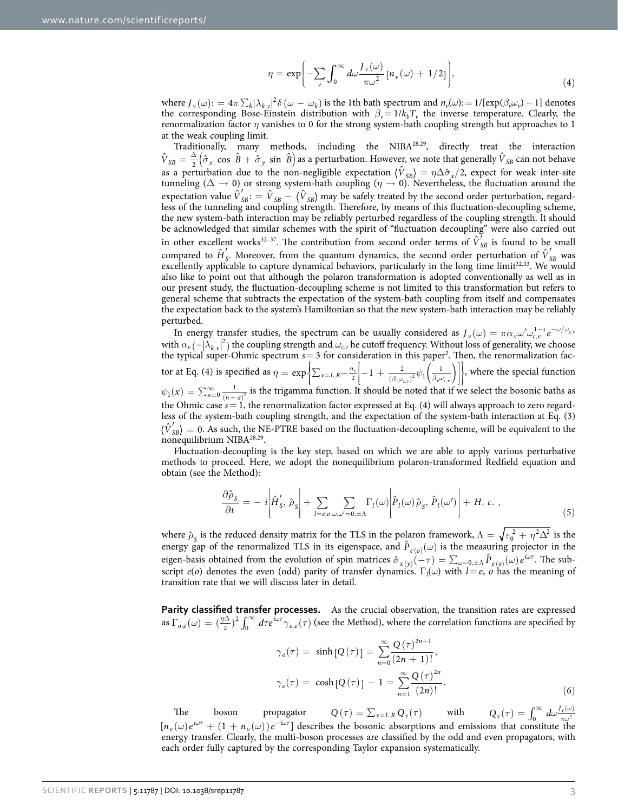$$
\eta = \exp\biggl(-\sum_{\nu} \int_0^{\infty} d\omega \frac{J_{\nu}(\omega)}{\pi \omega^2} \left[n_{\nu}(\omega) + 1/2\right]\biggr),\tag{4}
$$

where  $J_{\nu}(\omega)$ : =  $4\pi \sum_{k} |\lambda_{k,\nu}|^2 \delta(\omega - \omega_k)$  is the 1th bath spectrum and  $n_{\nu}(\omega)$ : = 1/[exp( $\beta_{\nu} \omega_{\nu}$ ) − 1] denotes the corresponding Bose-Einstein distribution with  $\beta_{\nu}=1/k_bT_{\nu}$  the inverse temperature. Clearly, the renormalization factor *η* vanishes to 0 for the strong system-bath coupling strength but approaches to 1 at the weak coupling limit.

Traditionally, many methods, including the NIB[A28](#page-8-18),[29,](#page-8-19) directly treat the interaction  $\hat{V}_{SB} = \frac{\Delta}{2} (\hat{\sigma}_x \cos \hat{B} + \hat{\sigma}_y \sin \hat{B})$  as a perturbation. However, we note that generally  $\hat{V}_{SB}$  can not behave as a perturbation due to the non-negligible expectation  $\langle \hat{V}_{SB} \rangle = \eta \Delta \hat{\sigma}_x / 2$ , expect for weak inter-site tunneling ( $\Delta \to 0$ ) or strong system-bath coupling ( $\eta \to 0$ ). Nevertheless, the fluctuation around the expectation value  $\hat{V}_{SB}' = \hat{V}_{SB} - \langle \hat{V}_{SB} \rangle$  may be safely treated by the second order perturbation, regardless of the tunneling and coupling strength. Therefore, by means of this fluctuation-decoupling scheme, the new system-bath interaction may be reliably perturbed regardless of the coupling strength. It should be acknowledged that similar schemes with the spirit of "fluctuation decoupling" were also carried out in other excellent works<sup>32–37</sup>. The contribution from second order terms of  $\hat{V}_{SB}^{\prime}$  is found to be small compared to  $\hat{H}'_S$ . Moreover, from the quantum dynamics, the second order perturbation of  $\hat{V}'_{SB}$  was excellently applicable to capture dynamical behaviors, particularly in the long time limit<sup>32[,33](#page-8-23)</sup>. We would also like to point out that although the polaron transformation is adopted conventionally as well as in our present study, the fluctuation-decoupling scheme is not limited to this transformation but refers to general scheme that subtracts the expectation of the system-bath coupling from itself and compensates the expectation back to the system's Hamiltonian so that the new system-bath interaction may be reliably perturbed.

In energy transfer studies, the spectrum can be usually considered as  $J_{\nu}(\omega) = \pi \alpha_{\nu} \omega_{\omega_{c,v}}^{s} e^{-\omega/\omega_{c,v}}$ with  $\alpha_v$  (  $\sim |\lambda_{k,v}|^2$  ) the coupling strength and  $\omega_{c,v}$  he cutoff frequency. Without loss of generality, we choose the typical super-Ohmic spectrum  $s = 3$  for consideration in this paper<sup>2</sup>. Then, the renormalization factor at Eq. (4) is specified as  $\eta = \exp\left\{\sum_{v=L,R} -\frac{\alpha_v}{2}\right\} - 1 + \frac{2}{(\beta_v \omega_{cv})^2} \psi_1\left(\frac{1}{\beta_v \omega_{cv}}\right)$  $\left\{\sum_{v=L,R} -\frac{\alpha_v}{2}\left[-1+\frac{2}{(\beta_v\omega_{c,v})^2}\psi_1\left(\frac{1}{\beta_v\omega_{c,v}}\right)\right]\right\}$ Į  $\overline{a}$  $\left\{ \right.$  $\exp\left\{\sum_{v=L,R} -\frac{\alpha_v}{2}\right\} - 1 + \frac{2}{(\beta_v \omega_{c,v})^2} \psi_1\left(\frac{1}{\beta_v \omega_{c,v}}\right)\right\},\$  where the special function  $\psi_1(x) = \sum_{n=0}^{\infty} \frac{1}{(n+x)^2}$  is the trigamma function. It should be noted that if we select the bosonic baths as the Ohmic case  $s = 1$ , the renormalization factor expressed at Eq. (4) will always approach to zero regardless of the system-bath coupling strength, and the expectation of the system-bath interaction at Eq. (3)  $\langle \hat{V}_{SR} \rangle = 0$ . As such, the NE-PTRE based on the fluctuation-decoupling scheme, will be equivalent to the nonequilibrium NIBA[28,](#page-8-18)[29.](#page-8-19)

Fluctuation-decoupling is the key step, based on which we are able to apply various perturbative methods to proceed. Here, we adopt the nonequilibrium polaron-transformed Redfield equation and obtain (see the Method):

$$
\frac{\partial \hat{\rho}_S}{\partial t} = -i \left[ \hat{H}'_S, \hat{\rho}_S \right] + \sum_{l=e, o \ \omega, \omega'=0, \pm \Lambda} \Gamma_l(\omega) \left[ \hat{P}_l(\omega) \hat{\rho}_S, \hat{P}_l(\omega') \right] + H. \ c. \ , \tag{5}
$$

where  $\hat{\rho}_S$  is the reduced density matrix for the TLS in the polaron framework,  $\Lambda = \sqrt{\epsilon_0^2 + \eta^2 \Delta^2}$  is the energy gap of the renormalized TLS in its eigenspace, and  $\hat{P}_{e(0)}(\omega)$  is the measuring projector in the eigen-basis obtained from the evolution of spin matrices  $\hat{\sigma}_{x(y)}(-\tau) = \sum_{\omega=0,\pm\Lambda} \hat{P}_{e(\omega)}(\omega) e^{i\omega\tau}$ . The subscript  $e(o)$  denotes the even (odd) parity of transfer dynamics.  $\Gamma_l(\omega)$  with  $l = e$ , *o* has the meaning of transition rate that we will discuss later in detail.

Parity classified transfer processes. As the crucial observation, the transition rates are expressed as  $\Gamma_{o,e}(\omega) = (\frac{\eta \Delta}{2})^2 \int_0^\infty d\tau e^{i\omega \tau} \gamma_{o,e}(\tau)$  (see the Method), where the correlation functions are specified by

$$
\gamma_o(\tau) = \sinh [Q(\tau)] = \sum_{n=0}^{\infty} \frac{Q(\tau)^{2n+1}}{(2n+1)!},
$$
  

$$
\gamma_e(\tau) = \cosh [Q(\tau)] - 1 = \sum_{n=1}^{\infty} \frac{Q(\tau)^{2n}}{(2n)!}.
$$
 (6)

The boson propagator  $Q(\tau) = \sum_{\nu=L,R} Q_{\nu}(\tau)$  with  $Q_{\nu}(\tau) = \int_0^{\infty} d\omega \frac{J_{\nu}(\omega)}{\pi \omega^2}$  $\int_0^\infty d\omega \frac{J_\nu(\omega)}{\pi \omega^2}$  $[n_{\nu}(\omega)e^{i\omega\tau} + (1 + n_{\nu}(\omega))e^{-i\omega\tau}]$  describes the bosonic absorptions and emissions that constitute the energy transfer. Clearly, the multi-boson processes are classified by the odd and even propagators, with each order fully captured by the corresponding Taylor expansion systematically.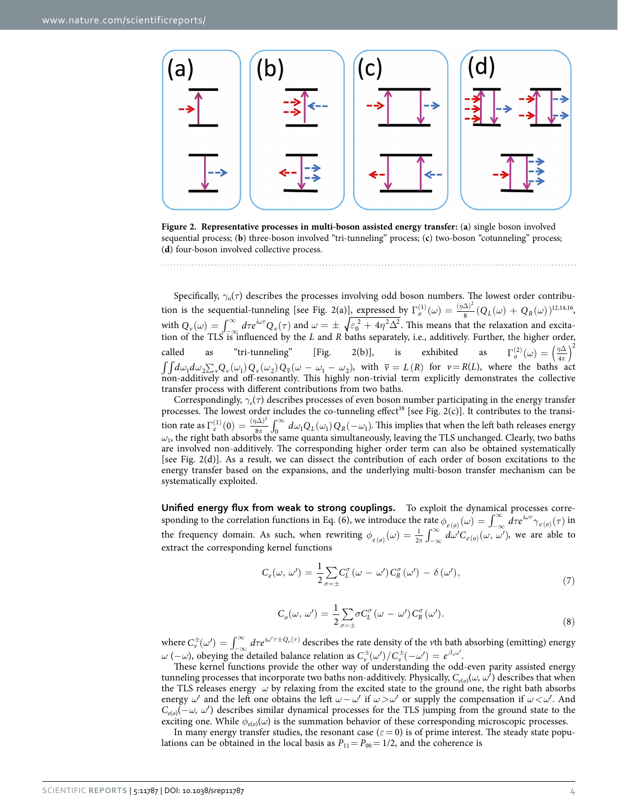

<span id="page-3-0"></span>**Figure 2. Representative processes in multi-boson assisted energy transfer:** (**a**) single boson involved sequential process; (**b**) three-boson involved "tri-tunneling" process; (**c**) two-boson "cotunneling" process; (**d**) four-boson involved collective process.

Specifically,  $\gamma_0(\tau)$  describes the processes involving odd boson numbers. The lowest order contribution is the sequential-tunneling [see Fig. 2(a)], expressed by  $\Gamma_o^{(1)}(\omega) = \frac{(\eta \Delta)^2}{8} (Q_L(\omega) + Q_R(\omega))$  $\frac{\Delta)^2}{8}(Q_L(\omega)+Q_R(\omega))^{12,14,16},$  $\frac{\Delta)^2}{8}(Q_L(\omega)+Q_R(\omega))^{12,14,16},$  $\frac{\Delta)^2}{8}(Q_L(\omega)+Q_R(\omega))^{12,14,16},$  $\frac{\Delta)^2}{8}(Q_L(\omega)+Q_R(\omega))^{12,14,16},$  $\frac{\Delta)^2}{8}(Q_L(\omega)+Q_R(\omega))^{12,14,16},$  $\frac{\Delta)^2}{8}(Q_L(\omega)+Q_R(\omega))^{12,14,16},$ with  $Q_v(\omega) = \int_{-\infty}^{\infty} d\tau e^{i\omega \tau} Q_v(\tau)$  and  $\omega = \pm \sqrt{\epsilon_0^2 + 4\eta^2 \Delta^2}$ . This means that the relaxation and excitation of the TLS is influenced by the *L* and *R* baths separately, i.e., additively. Further, the higher order, called as "tri-tunneling" [Fig. 2(b)], is exhibited as  $\Gamma_o^{(2)}(\omega) = \left(\frac{\eta \Delta}{4\pi}\right)^2$  $\binom{(2)}{o}(\omega) = \left(\frac{\eta \Delta}{4\pi}\right)$ 4 2  $\int\int d\omega_1 d\omega_2 \sum_{\nu} Q_{\nu}(\omega_1) Q_{\nu}(\omega_2) Q_{\overline{\nu}}(\omega - \omega_1 - \omega_2)$ , with  $\overline{\nu} = L(R)$  for  $\nu = R(L)$ , where the baths act non-additively and off-resonantly. This highly non-trivial term explicitly demonstrates the collective transfer process with different contributions from two baths.

Correspondingly, *γe*(*τ*) describes processes of even boson number participating in the energy transfer processes. The lowest order includes the co-tunneling effect<sup>38</sup> [see [Fig. 2\(c\)](#page-3-0)]. It contributes to the transition rate as  $\Gamma_e^{(1)}(0) = \frac{(\eta \Delta)^2}{8\pi} \int_0^\infty d\omega_1 Q_L(\omega_1) Q_R(-\omega_1)$  $\mathcal{L}_{e}^{(1)}(0) = \frac{(\eta \Delta)^2}{8\pi} \int_0^\infty d\omega_1 Q_L(\omega_1) Q_R(-\omega_1)$  $\int_{0}^{2} \int_{0}^{\infty} d\omega_1 Q_L(\omega_1) Q_R(-\omega_1)$ . This implies that when the left bath releases energy  $\omega_1$ , the right bath absorbs the same quanta simultaneously, leaving the TLS unchanged. Clearly, two baths are involved non-additively. The corresponding higher order term can also be obtained systematically [see [Fig. 2\(d\)](#page-3-0)]. As a result, we can dissect the contribution of each order of boson excitations to the energy transfer based on the expansions, and the underlying multi-boson transfer mechanism can be systematically exploited.

**Unified energy flux from weak to strong couplings.** To exploit the dynamical processes corresponding to the correlation functions in Eq. (6), we introduce the rate  $\phi_{e(o)}(\omega) = \int_{-\infty}^{\infty} d\tau e^{i\omega\tau} \gamma_{e(o)}(\tau)$  $\sigma_{e(o)}(\omega) = \int_{-\infty}^{\infty} d\tau e^{i\omega\tau} \gamma_{e(o)}(\tau)$  in the frequency domain. As such, when rewriting  $\phi_{e(o)}(\omega) = \frac{1}{2\pi} \int_{-\infty}^{\infty} d\omega' C_{e(o)}(\omega, \omega')$ , we are able to extract the corresponding kernel functions

$$
C_e(\omega, \omega') = \frac{1}{2} \sum_{\sigma=\pm} C_L^{\sigma} (\omega - \omega') C_R^{\sigma} (\omega') - \delta (\omega'), \qquad (7)
$$

$$
C_o(\omega, \omega') = \frac{1}{2} \sum_{\sigma=\pm} \sigma C_L^{\sigma} (\omega - \omega') C_R^{\sigma} (\omega'). \tag{8}
$$

where  $C_v^{\pm}(\omega') = \int_{-\infty}^{\infty} d\tau e^{i\omega'\tau \pm Q_v(\tau)}$  describes the rate density of the *v*th bath absorbing (emitting) energy *ω* (−*ω*), obeying the detailed balance relation as  $C_v^{\pm}(\omega')/C_v^{\pm}(-\omega') = e^{\beta_v \omega'}$ .

These kernel functions provide the other way of understanding the odd-even parity assisted energy tunneling processes that incorporate two baths non-additively. Physically,  $C_{e(o)}(\omega, \omega^j)$  describes that when the TLS releases energy *ω* by relaxing from the excited state to the ground one, the right bath absorbs energy  $\omega'$  and the left one obtains the left  $\omega - \omega'$  if  $\omega > \omega'$  or supply the compensation if  $\omega < \omega'$ . And *C<sub>e(o)</sub>*(−*ω, ω*<sup>'</sup>) describes similar dynamical processes for the TLS jumping from the ground state to the exciting one. While  $\phi_{e(o)}(\omega)$  is the summation behavior of these corresponding microscopic processes.

In many energy transfer studies, the resonant case ( $\varepsilon$  = 0) is of prime interest. The steady state populations can be obtained in the local basis as  $P_{11} = P_{00} = 1/2$ , and the coherence is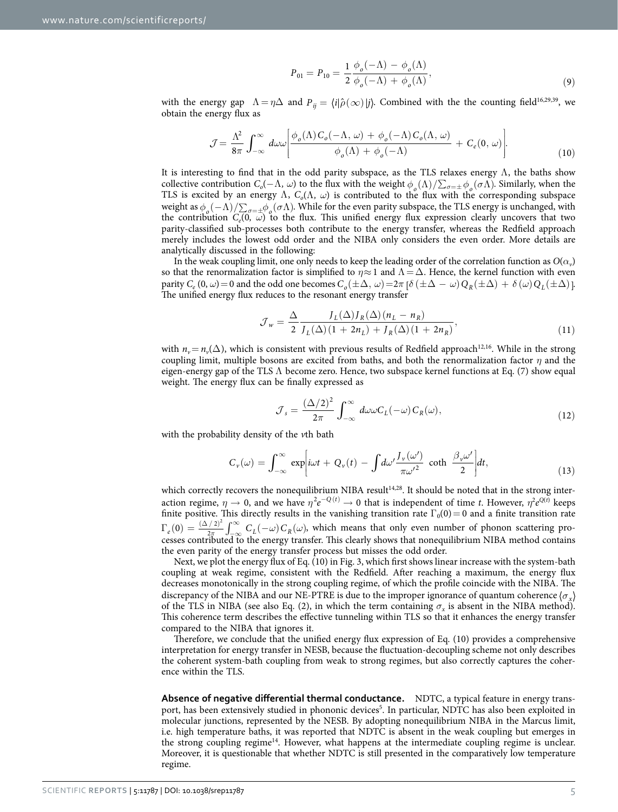$$
P_{01} = P_{10} = \frac{1}{2} \frac{\phi_o(-\Lambda) - \phi_o(\Lambda)}{\phi_o(-\Lambda) + \phi_o(\Lambda)},
$$
\n(9)

with the energy gap  $\Lambda = \eta \Delta$  and  $P_{ij} = \langle i | \hat{\rho}(\infty) | j \rangle$ . Combined with the the counting field<sup>16,[29,](#page-8-19)[39](#page-9-1)</sup>, we obtain the energy flux as

$$
\mathcal{J} = \frac{\Lambda^2}{8\pi} \int_{-\infty}^{\infty} d\omega \omega \left[ \frac{\phi_o(\Lambda) C_o(-\Lambda, \omega) + \phi_o(-\Lambda) C_o(\Lambda, \omega)}{\phi_o(\Lambda) + \phi_o(-\Lambda)} + C_e(0, \omega) \right].
$$
 (10)

It is interesting to find that in the odd parity subspace, as the TLS relaxes energy  $\Lambda$ , the baths show collective contribution  $C_0(-\Lambda, \omega)$  to the flux with the weight  $\phi_0(\Lambda)/\sum_{\sigma=\pm} \phi_0(\sigma \Lambda)$ . Similarly, when the TLS is excited by an energy  $\Lambda$ ,  $C_o(\Lambda, \omega)$  is contributed to the flux with the corresponding subspace weight as  $\phi_o(-\Lambda)/\sum_{\sigma=+}\phi_o(\sigma\Lambda)$ . While for the even parity subspace, the TLS energy is unchanged, with the contribution  $C_e(0, \omega)$  to the flux. This unified energy flux expression clearly uncovers that two parity-classified sub-processes both contribute to the energy transfer, whereas the Redfield approach merely includes the lowest odd order and the NIBA only considers the even order. More details are analytically discussed in the following:

In the weak coupling limit, one only needs to keep the leading order of the correlation function as  $O(\alpha_v)$ so that the renormalization factor is simplified to  $\eta \approx 1$  and  $\Lambda = \Delta$ . Hence, the kernel function with even parity  $C_e$  (0,  $\omega$ ) = 0 and the odd one becomes  $C_o(\pm \Delta, \omega) = 2\pi \left[ \delta (\pm \Delta - \omega) Q_R(\pm \Delta) + \delta (\omega) Q_L(\pm \Delta) \right]$ . The unified energy flux reduces to the resonant energy transfer

$$
\mathcal{J}_w = \frac{\Delta}{2} \frac{J_L(\Delta)J_R(\Delta)(n_L - n_R)}{J_L(\Delta)(1 + 2n_L) + J_R(\Delta)(1 + 2n_R)},\tag{11}
$$

with  $n_v = n_v(\Delta)$ , which is consistent with previous results of Redfield approach<sup>12,16</sup>. While in the strong coupling limit, multiple bosons are excited from baths, and both the renormalization factor *η* and the eigen-energy gap of the TLS Λ become zero. Hence, two subspace kernel functions at Eq. (7) show equal weight. The energy flux can be finally expressed as

$$
\mathcal{J}_s = \frac{(\Delta/2)^2}{2\pi} \int_{-\infty}^{\infty} d\omega \omega C_L(-\omega) C_R(\omega), \qquad (12)
$$

with the probability density of the *v*th bath

$$
C_{\nu}(\omega) = \int_{-\infty}^{\infty} \exp\left[i\omega t + Q_{\nu}(t) - \int d\omega' \frac{J_{\nu}(\omega')}{\pi {\omega'}^2} \coth \frac{\beta_{\nu} \omega'}{2}\right] dt, \tag{13}
$$

which correctly recovers the nonequilibrium NIBA result<sup>14,28</sup>. It should be noted that in the strong interaction regime,  $\eta \to 0$ , and we have  $\eta^2 e^{-Q(t)} \to 0$  that is independent of time *t*. However,  $\eta^2 e^{Q(t)}$  keeps finite positive. This directly results in the vanishing transition rate  $\Gamma_0(0)=0$  and a finite transition rate  $\Gamma_e(0) = \frac{(\Delta/2)^2}{2\pi} \int_{-\infty}^{\infty} C_L(-\omega) C_R(\omega)$ −∞  $\sigma_e(0) = \frac{(\Delta/2)^2}{2\pi} \int_{-\infty}^{\infty} \, C_L(-\omega) \, C_R$ 2  $\int_{0}^{2} \int_{0}^{\infty} C_{L}(-\omega) C_{R}(\omega)$ , which means that only even number of phonon scattering processes contributed to the energy transfer. This clearly shows that nonequilibrium NIBA method contains the even parity of the energy transfer process but misses the odd order.

Next, we plot the energy flux of Eq. (10) in [Fig. 3](#page-5-0), which first shows linear increase with the system-bath coupling at weak regime, consistent with the Redfield. After reaching a maximum, the energy flux decreases monotonically in the strong coupling regime, of which the profile coincide with the NIBA. The discrepancy of the NIBA and our NE-PTRE is due to the improper ignorance of quantum coherence  $\langle \sigma_x \rangle$ of the TLS in NIBA (see also Eq. (2), in which the term containing  $\sigma_x$  is absent in the NIBA method). This coherence term describes the effective tunneling within TLS so that it enhances the energy transfer compared to the NIBA that ignores it.

Therefore, we conclude that the unified energy flux expression of Eq. (10) provides a comprehensive interpretation for energy transfer in NESB, because the fluctuation-decoupling scheme not only describes the coherent system-bath coupling from weak to strong regimes, but also correctly captures the coherence within the TLS.

**Absence of negative differential thermal conductance.** NDTC, a typical feature in energy transport, has been extensively studied in phononic devices<sup>5</sup>. In particular, NDTC has also been exploited in molecular junctions, represented by the NESB. By adopting nonequilibrium NIBA in the Marcus limit, i.e. high temperature baths, it was reported that NDTC is absent in the weak coupling but emerges in the strong coupling regime<sup>14</sup>. However, what happens at the intermediate coupling regime is unclear. Moreover, it is questionable that whether NDTC is still presented in the comparatively low temperature regime.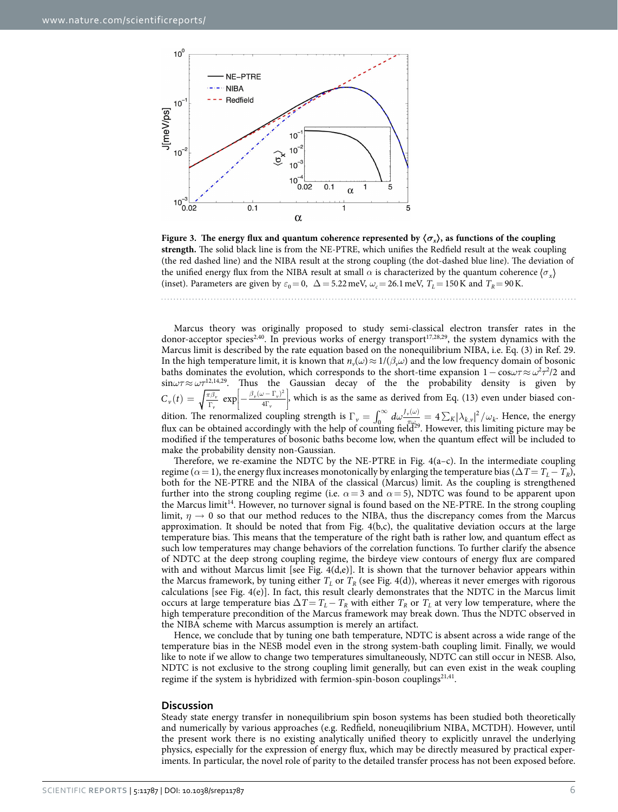

<span id="page-5-0"></span>**Figure 3.** The energy flux and quantum coherence represented by  $\langle \sigma_x \rangle$ , as functions of the coupling **strength.** The solid black line is from the NE-PTRE, which unifies the Redfield result at the weak coupling (the red dashed line) and the NIBA result at the strong coupling (the dot-dashed blue line). The deviation of the unified energy flux from the NIBA result at small  $\alpha$  is characterized by the quantum coherence  $\langle \sigma_{\rm x} \rangle$ (inset). Parameters are given by  $\varepsilon_0 = 0$ ,  $\Delta = 5.22$  meV,  $\omega_c = 26.1$  meV,  $T_L = 150$  K and  $T_R = 90$  K.

Marcus theory was originally proposed to study semi-classical electron transfer rates in the donor-acceptor specie[s2](#page-8-1),[40.](#page-9-2) In previous works of energy transport[17,](#page-8-24)[28](#page-8-18)[,29](#page-8-19), the system dynamics with the Marcus limit is described by the rate equation based on the nonequilibrium NIBA, i.e. Eq. (3) in [Ref. 29](#page-8-19). In the high temperature limit, it is known that  $n_v(\omega) \approx 1/(\beta_v \omega)$  and the low frequency domain of bosonic baths dominates the evolution, which corresponds to the short-time expansion 1− cos*ωτ*≈ *ω*<sup>2</sup> *τ*2 /2 and sin*ωτ*≈ *ωτ*[12](#page-8-15)[,14](#page-8-17),[29.](#page-8-19) Thus the Gaussian decay of the the probability density is given by  $f(t) = \sqrt{\frac{\pi \beta_v}{\Gamma_v}} \exp \left[-\frac{\beta_v (\omega - \Gamma_v)^2}{4 \Gamma_v}\right]$ l  $\begin{array}{c} \end{array}$  $C_{\nu}(t) = \sqrt{\frac{\pi \beta_{\nu}}{\Gamma_{\nu}}} \exp \left[-\frac{\beta_{\nu}(\omega - \Gamma_{\nu})}{4\Gamma_{\nu}}\right]$ *v*  $v^{(\omega)}$   $\alpha$ *v*  $\left\lfloor \frac{2}{n} \right\rfloor$ , which is as the same as derived from Eq. (13) even under biased condition. The renormalized coupling strength is  $\Gamma_v = \int_0^\infty d\omega \frac{J_v(\omega)}{\sqrt{\pi}} = 4 \sum_K |\lambda_{k,v}|^2 / \omega_k$ . Hence, the energy flux can be obtained accordingly with the help of counting field<sup>29</sup>. However, this limiting picture may be modified if the temperatures of bosonic baths become low, when the quantum effect will be included to make the probability density non-Gaussian.

Therefore, we re-examine the NDTC by the NE-PTRE in Fig.  $4(a-c)$ . In the intermediate coupling regime ( $\alpha$  = 1), the energy flux increases monotonically by enlarging the temperature bias ( $\Delta T = T_L - T_R$ ), both for the NE-PTRE and the NIBA of the classical (Marcus) limit. As the coupling is strengthened further into the strong coupling regime (i.e.  $\alpha = 3$  and  $\alpha = 5$ ), NDTC was found to be apparent upon the Marcus limit<sup>14</sup>. However, no turnover signal is found based on the NE-PTRE. In the strong coupling limit,  $\eta \to 0$  so that our method reduces to the NIBA, thus the discrepancy comes from the Marcus approximation. It should be noted that from Fig.  $4(b,c)$ , the qualitative deviation occurs at the large temperature bias. This means that the temperature of the right bath is rather low, and quantum effect as such low temperatures may change behaviors of the correlation functions. To further clarify the absence of NDTC at the deep strong coupling regime, the birdeye view contours of energy flux are compared with and without Marcus limit [see Fig.  $4(d,e)$ ]. It is shown that the turnover behavior appears within the Marcus framework, by tuning either  $T_L$  or  $T_R$  (see [Fig. 4\(d\)](#page-6-0)), whereas it never emerges with rigorous calculations [see Fig.  $4(e)$ ]. In fact, this result clearly demonstrates that the NDTC in the Marcus limit occurs at large temperature bias  $\Delta T = T_L - T_R$  with either  $T_R$  or  $T_L$  at very low temperature, where the high temperature precondition of the Marcus framework may break down. Thus the NDTC observed in the NIBA scheme with Marcus assumption is merely an artifact.

Hence, we conclude that by tuning one bath temperature, NDTC is absent across a wide range of the temperature bias in the NESB model even in the strong system-bath coupling limit. Finally, we would like to note if we allow to change two temperatures simultaneously, NDTC can still occur in NESB. Also, NDTC is not exclusive to the strong coupling limit generally, but can even exist in the weak coupling regime if the system is hybridized with fermion-spin-boson couplings $2^{1,41}$ .

#### **Discussion**

Steady state energy transfer in nonequilibrium spin boson systems has been studied both theoretically and numerically by various approaches (e.g. Redfield, noneuqilibrium NIBA, MCTDH). However, until the present work there is no existing analytically unified theory to explicitly unravel the underlying physics, especially for the expression of energy flux, which may be directly measured by practical experiments. In particular, the novel role of parity to the detailed transfer process has not been exposed before.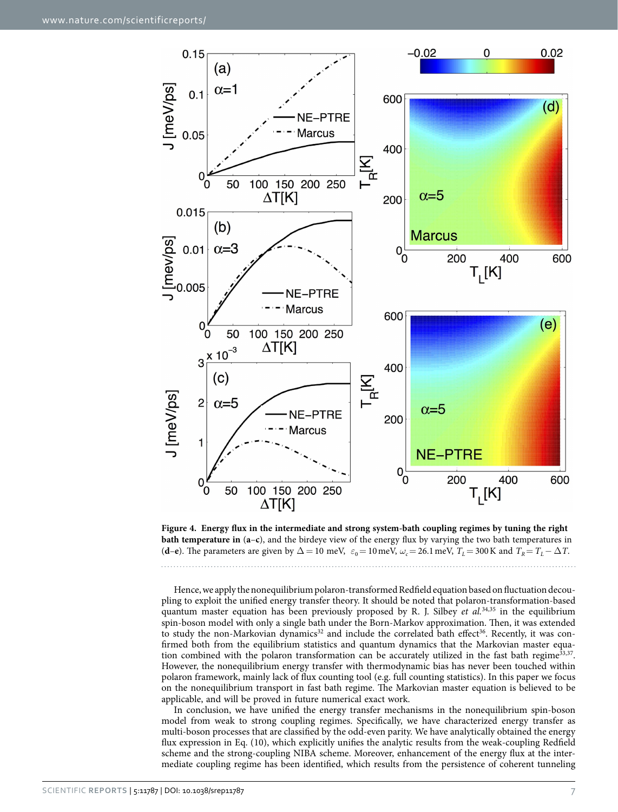

<span id="page-6-0"></span>**Figure 4. Energy flux in the intermediate and strong system-bath coupling regimes by tuning the right bath temperature in** (**a**–**c**), and the birdeye view of the energy flux by varying the two bath temperatures in (**d**–**e**). The parameters are given by  $\Delta = 10$  meV,  $\varepsilon_0 = 10$  meV,  $\omega_c = 26.1$  meV,  $T_L = 300$  K and  $T_R = T_L - \Delta T$ .

Hence, we apply the nonequilibrium polaron-transformed Redfield equation based on fluctuation decoupling to exploit the unified energy transfer theory. It should be noted that polaron-transformation-based quantum master equation has been previously proposed by R. J. Silbey *et al.*[34](#page-8-25),[35](#page-8-26) in the equilibrium spin-boson model with only a single bath under the Born-Markov approximation. Then, it was extended to study the non-Markovian dynamics<sup>32</sup> and include the correlated bath effect<sup>36</sup>. Recently, it was confirmed both from the equilibrium statistics and quantum dynamics that the Markovian master equa-tion combined with the polaron transformation can be accurately utilized in the fast bath regime<sup>33,[37](#page-9-5)</sup>. However, the nonequilibrium energy transfer with thermodynamic bias has never been touched within polaron framework, mainly lack of flux counting tool (e.g. full counting statistics). In this paper we focus on the nonequilibrium transport in fast bath regime. The Markovian master equation is believed to be applicable, and will be proved in future numerical exact work.

In conclusion, we have unified the energy transfer mechanisms in the nonequilibrium spin-boson model from weak to strong coupling regimes. Specifically, we have characterized energy transfer as multi-boson processes that are classified by the odd-even parity. We have analytically obtained the energy flux expression in Eq. (10), which explicitly unifies the analytic results from the weak-coupling Redfield scheme and the strong-coupling NIBA scheme. Moreover, enhancement of the energy flux at the intermediate coupling regime has been identified, which results from the persistence of coherent tunneling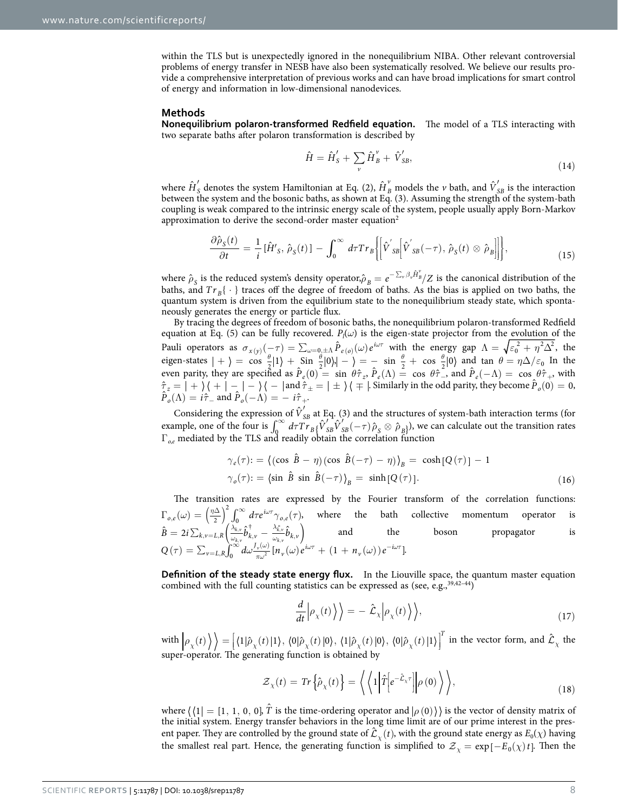within the TLS but is unexpectedly ignored in the nonequilibrium NIBA. Other relevant controversial problems of energy transfer in NESB have also been systematically resolved. We believe our results provide a comprehensive interpretation of previous works and can have broad implications for smart control of energy and information in low-dimensional nanodevices.

#### **Methods**

**Nonequilibrium polaron-transformed Redfield equation.** The model of a TLS interacting with two separate baths after polaron transformation is described by

$$
\hat{H} = \hat{H}'_S + \sum_{\nu} \hat{H}^{\nu}_B + \hat{V}'_{SB},
$$
\n(14)

where  $\hat{H}'_S$  denotes the system Hamiltonian at Eq. (2),  $\hat{H}_B^{\nu}$  models the  $\nu$  bath, and  $\hat{V}'_{SB}$  is the interaction between the system and the bosonic baths, as shown at Eq. (3). Assuming the strength of the system-bath coupling is weak compared to the intrinsic energy scale of the system, people usually apply Born-Markov approximation to derive the second-order master equatio[n2](#page-8-1)

$$
\frac{\partial \hat{\rho}_S(t)}{\partial t} = \frac{1}{i} [\hat{H}'_S, \hat{\rho}_S(t)] - \int_0^\infty d\tau Tr_B \left\{ \left[ \hat{V}'_{SB} \left[ \hat{V}'_{SB}(-\tau), \hat{\rho}_S(t) \otimes \hat{\rho}_B \right] \right] \right\},\tag{15}
$$

where  $\hat{\rho}_s$  is the reduced system's density operator, $\hat{\rho}_B = e^{-\sum_{\nu} \beta_{\nu} \hat{H}_B^{\nu}} / Z$  is the canonical distribution of the baths, and  $Tr_B\{\cdot\}$  traces off the degree of freedom of baths. As the bias is applied on two baths, the quantum system is driven from the equilibrium state to the nonequilibrium steady state, which spontaneously generates the energy or particle flux.

By tracing the degrees of freedom of bosonic baths, the nonequilibrium polaron-transformed Redfield equation at Eq. (5) can be fully recovered.  $P_l(\omega)$  is the eigen-state projector from the <u>evolution of</u> the Pauli operators as  $\sigma_{x(y)}(-\tau) = \sum_{\omega=0, \pm \Lambda} \hat{P}_{e(\omega)}(\omega) e^{i\omega \tau}$  with the energy gap  $\Lambda = \sqrt{\epsilon_0^2 + \eta^2 \Delta^2}$ , the eigen-states  $| + \rangle = \cos \frac{\theta}{2} | 1 \rangle + \sin \frac{\theta}{2} | 0 \rangle | - \rangle = - \sin \frac{\theta}{2} + \cos \frac{\theta}{2} | 0 \rangle$  and tan  $\theta = \eta \Delta / \varepsilon_0$  In the even parity, they are specified as  $\hat{P}_e(0) = \sin \theta \hat{\tau}_z$ ,  $\hat{P}_e(\Lambda) = \cos \theta \hat{\tau}_z$ , and  $\hat{P}_e(-\Lambda) = \cos \theta \hat{\tau}_+$ , with  $\hat{\tau}_z = | + \rangle \langle + | - | - \rangle \langle - |$  and  $\hat{\tau}_\pm = | \pm \rangle \langle \mp |$ . Similarly in the odd parity, they become  $\hat{P}_o(0) = 0$ ,  $\hat{P}_o(\Lambda) = i\hat{\tau}_-$  and  $\hat{P}_o(-\Lambda) = -i\hat{\tau}_+$ .

Considering the expression of  $\hat{V}_{SB}'$  at Eq. (3) and the structures of system-bath interaction terms (for example, one of the four is  $\int_0^\infty d\tau Tr_B \{\hat{V}_{SB}^{\prime}(\tau)\hat{V}_{SB}^{\prime}(-\tau)\hat{\rho}_S \otimes \hat{\rho}_B\}$ , we can calculate out the transition rates Γ*<sup>o</sup>*,*<sup>e</sup>* mediated by the TLS and readily obtain the correlation function

$$
\gamma_e(\tau) := \left\{ (\cos \hat{B} - \eta) (\cos \hat{B}(-\tau) - \eta) \right\}_B = \cosh\left[Q(\tau)\right] - 1
$$
  

$$
\gamma_o(\tau) := \left\langle \sin \hat{B} \sin \hat{B}(-\tau) \right\rangle_B = \sinh\left[Q(\tau)\right].
$$
 (16)

The transition rates are expressed by the Fourier transform of the correlation functions:  $\Gamma_{o,e}(\omega) = \left(\frac{\eta \Delta}{2}\right)^2 \int_0^\infty d\tau e^{i\omega \tau} \gamma_{o,e}(\tau)$  $\int_0^2 \int_0^\infty d\tau e^{i\omega \tau} \gamma_{o,e}(\tau)$ , where the bath collective momentum operator is  $=2i\sum_{k,\nu=L,R}\Bigl(\frac{\lambda_{k,\nu}}{\omega_{k,\nu}}\hat{b}^{\dagger}_{k,\nu}\ -\ \frac{\lambda_{k,\nu}^*}{\omega_{k,\nu}}\hat{b}_{k,\nu}\Bigr)$ *λ*  $\hat{v}_{\nu} = L, R\left(\frac{\Delta_{k,\nu}}{\omega_{k,\nu}}\hat{b}_{k,\nu}^{\top} - \frac{\Delta_{k,\nu}}{\omega_{k,\nu}}\hat{b}_{k,\nu}\right)$ , ,  $\hat{B}=2i\sum_{k,\nu=L,R}\Bigl(\frac{\lambda_{k,\nu}^{\ast}}{\omega_{k,\nu}}\hat{b}^{\dagger}_{k,\nu}-\frac{\lambda_{k,\nu}^{\ast}}{\omega_{k,\nu}}\hat{b}_{k,\nu}^{\phantom{\dagger}}\Bigr)$ *k v k v*  $\left( \frac{k, \nu}{k, \nu} b_{k, \nu} \right)$  and the boson propagator is  $Q\left( \tau \right) = \sum_{\nu=L,R}^{} \!\! \int^{\infty}_0 \!\! {d\omega}\frac{J_{\nu}(\omega)}{\pi \omega^2} [ \stackrel{.}{n}_{\nu}(\omega) \stackrel{.}{e}^{\stackrel{i \omega \tau}{\nu}} + \left( 1 + n_{\nu}(\omega) \right) \stackrel{.}{e}^{-i \omega \tau} ]$  $v_{\nu}(\omega)e^{i\omega\tau} + (1 + n_{\nu}(\omega))e^{-i\tau}$  $\int_0^\infty d\omega \frac{J_\nu(\omega)}{\pi \omega^2} [n_\nu(\omega) e^{i\omega \tau} + (1 + n_\nu(\omega)) e^{-i\omega \tau}].$ 

**Definition of the steady state energy flux.** In the Liouville space, the quantum master equation combined with the full counting statistics can be expressed as (see, e.g., 39,42-44)

$$
\frac{d}{dt}\Big|\rho_{\chi}(t)\Big|\Big\rangle = -\hat{\mathcal{L}}_{\chi}\Big|\rho_{\chi}(t)\Big\rangle, \tag{17}
$$

 $\langle \text{with} \left| \rho_{\chi}(t) \right\rangle \rangle = \left[ \langle 1 | \hat{\rho}_{\chi}(t) | 1 \rangle, \langle 0 | \hat{\rho}_{\chi}(t) | 0 \rangle, \langle 1 | \hat{\rho}_{\chi}(t) | 0 \rangle, \langle 0 | \hat{\rho}_{\chi}(t) | 1 \rangle \right]^T$  in the vector form, and  $\hat{\mathcal{L}}_{\chi}$  the l super-operator. The generating function is obtained by

$$
\mathcal{Z}_{\chi}(t) = \text{Tr}\left\{\hat{\rho}_{\chi}(t)\right\} = \left\langle \left\langle 1 \middle| \hat{T} \middle| e^{-\hat{\mathcal{L}}_{\chi}\tau} \middle| \rho(0) \right\rangle \right\rangle, \tag{18}
$$

where  $\bra{\{1}}=[1,\,1,\,0,\,0]$ ,  $\hat{T}$  is the time-ordering operator and  $\ket{\rho\left(0\right)}$  is the vector of density matrix of the initial system. Energy transfer behaviors in the long time limit are of our prime interest in the present paper. They are controlled by the ground state of  $\hat{\mathcal{L}}_v(t)$ , with the ground state energy as  $E_0(\chi)$  having the smallest real part. Hence, the generating function is simplified to  $\mathcal{Z}_{\mathcal{X}} = \exp[-E_0(\chi)t]$ . Then the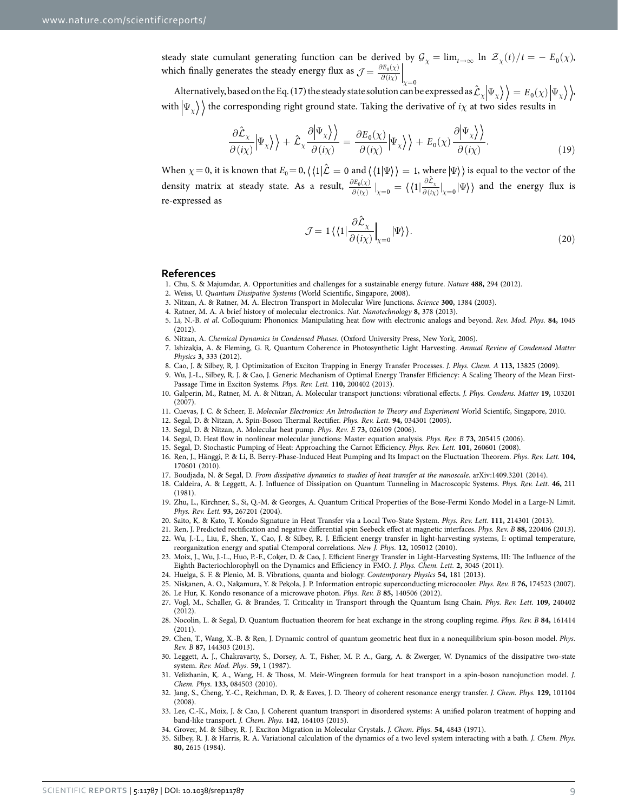steady state cumulant generating function can be derived by  $G_\chi = \lim_{t\to\infty} \ln \mathcal{Z}_\chi(t)/t = - E_0(\chi)$ , which finally generates the steady energy flux as  $\mathcal{J} = \frac{\partial E_0(\chi)}{\partial f(\chi)}$ *<sup>χ</sup> <sup>χ</sup>*  $\partial E_0(\chi)$  $\mathcal{J} = \left. \frac{\partial E_0(\chi)}{\partial(i\chi)} \right|_{\chi=0}$ 

Alternatively, based on the Eq. (17) the steady state solution can be expressed as  $\hat{\mathcal{L}}_x \ket{\Psi_x} = E_0(x) \ket{\Psi_x}$ . with  $|\Psi_{\chi}\rangle$  the corresponding right ground state. Taking the derivative of *i* $\chi$  at two sides results in

$$
\frac{\partial \hat{\mathcal{L}}_{\chi}}{\partial (i\chi)} \Big| \Psi_{\chi} \Big> \Big> + \hat{\mathcal{L}}_{\chi} \frac{\partial \Big| \Psi_{\chi} \Big>}{\partial (i\chi)} = \frac{\partial E_{0}(\chi)}{\partial (i\chi)} \Big| \Psi_{\chi} \Big> \Big> + E_{0}(\chi) \frac{\partial \Big| \Psi_{\chi} \Big>}{\partial (i\chi)}.
$$
\n(19)

When  $\chi = 0$ , it is known that  $E_0 = 0$ ,  $\langle \langle 1 | \hat{\mathcal{L}} = 0$  and  $\langle \langle 1 | \Psi \rangle \rangle = 1$ , where  $| \Psi \rangle$  is equal to the vector of the density matrix at steady state. As a result,  $\frac{\partial E_0(\chi)}{\partial (i\chi)}\Big|_{\chi=0} = \langle \langle 1 | \frac{\partial \mathcal{L}_\chi}{\partial (i\chi)} \Big|_{\chi=0} | \Psi \rangle$  $\partial E_0(\chi)$  $\partial (i\chi)$   $\lambda =$ ∂  $\frac{f(z_0(\chi))}{\partial f(x_0)}\big|_{\chi=0} = \langle \langle 1 | \frac{\partial \hat{\mathcal{L}}_\chi}{\partial f(x_0)}\big|_{\chi=0} | \Psi \rangle \rangle$  and the energy flux is re-expressed as

$$
\mathcal{J} = 1 \langle \langle 1 | \frac{\partial \hat{\mathcal{L}}_{\chi}}{\partial \left( i \chi \right)} \Big|_{\chi=0} | \Psi \rangle \rangle. \tag{20}
$$

#### **References**

- 1. Chu, S. & Majumdar, A. Opportunities and challenges for a sustainable energy future. *Nature* **488,** 294 (2012).
- <span id="page-8-1"></span><span id="page-8-0"></span>2. Weiss, U. *Quantum Dissipative Systems* (World Scientific, Singapore, 2008).
- 3. Nitzan, A. & Ratner, M. A. Electron Transport in Molecular Wire Junctions. *Science* **300,** 1384 (2003).
- <span id="page-8-3"></span>4. Ratner, M. A. A brief history of molecular electronics. *Nat. Nanotechnology* **8,** 378 (2013).
- 5. Li, N.-B. *et al.* Colloquium: Phononics: Manipulating heat flow with electronic analogs and beyond. *Rev. Mod. Phys.* **84,** 1045 (2012).
- <span id="page-8-2"></span>6. Nitzan, A. *Chemical Dynamics in Condensed Phases*. (Oxford University Press, New York, 2006).
- <span id="page-8-9"></span>7. Ishizakia, A. & Fleming, G. R. Quantum Coherence in Photosynthetic Light Harvesting. *Annual Review of Condensed Matter Physics* **3,** 333 (2012).
- <span id="page-8-10"></span>8. Cao, J. & Silbey, R. J. Optimization of Exciton Trapping in Energy Transfer Processes. *J. Phys. Chem. A* **113,** 13825 (2009).
- 9. Wu, J.-L., Silbey, R. J. & Cao, J. Generic Mechanism of Optimal Energy Transfer Efficiency: A Scaling Theory of the Mean First-Passage Time in Exciton Systems. *Phys. Rev. Lett.* **110,** 200402 (2013).
- <span id="page-8-4"></span>10. Galperin, M., Ratner, M. A. & Nitzan, A. Molecular transport junctions: vibrational effects. *J. Phys. Condens. Matter* **19,** 103201 (2007).
- 11. Cuevas, J. C. & Scheer, E. *Molecular Electronics: An Introduction to Theory and Experiment* World Scientifc, Singapore, 2010.
- <span id="page-8-15"></span>12. Segal, D. & Nitzan, A. Spin-Boson Thermal Rectifier. *Phys. Rev. Lett.* **94,** 034301 (2005).
- 13. Segal, D. & Nitzan, A. Molecular heat pump. *Phys. Rev. E* **73,** 026109 (2006).
- <span id="page-8-17"></span>14. Segal, D. Heat flow in nonlinear molecular junctions: Master equation analysis. *Phys. Rev. B* **73,** 205415 (2006).
- 15. Segal, D. Stochastic Pumping of Heat: Approaching the Carnot Efficiency. *Phys. Rev. Lett.* **101,** 260601 (2008).
- <span id="page-8-16"></span>16. Ren, J., Hänggi, P. & Li, B. Berry-Phase-Induced Heat Pumping and Its Impact on the Fluctuation Theorem. *Phys. Rev. Lett.* **104,** 170601 (2010).
- <span id="page-8-24"></span>17. Boudjada, N. & Segal, D. *From dissipative dynamics to studies of heat transfer at the nanoscale*. arXiv:1409.3201 (2014).
- <span id="page-8-5"></span>18. Caldeira, A. & Leggett, A. J. Influence of Dissipation on Quantum Tunneling in Macroscopic Systems. *Phys. Rev. Lett.* **46,** 211 (1981).
- <span id="page-8-6"></span>19. Zhu, L., Kirchner, S., Si, Q.-M. & Georges, A. Quantum Critical Properties of the Bose-Fermi Kondo Model in a Large-N Limit. *Phys. Rev. Lett.* **93,** 267201 (2004).
- <span id="page-8-7"></span>20. Saito, K. & Kato, T. Kondo Signature in Heat Transfer via a Local Two-State System. *Phys. Rev. Lett.* **111,** 214301 (2013).
- <span id="page-8-8"></span>21. Ren, J. Predicted rectification and negative differential spin Seebeck effect at magnetic interfaces. *Phys. Rev. B* **88,** 220406 (2013).
- <span id="page-8-11"></span>22. Wu, J.-L., Liu, F., Shen, Y., Cao, J. & Silbey, R. J. Efficient energy transfer in light-harvesting systems, I: optimal temperature, reorganization energy and spatial Ctemporal correlations. *New J. Phys.* **12,** 105012 (2010).
- 23. Moix, J., Wu, J.-L., Huo, P.-F., Coker, D. & Cao, J. Efficient Energy Transfer in Light-Harvesting Systems, III: The Influence of the Eighth Bacteriochlorophyll on the Dynamics and Efficiency in FMO. *J. Phys. Chem. Lett.* **2,** 3045 (2011).
- 24. Huelga, S. F. & Plenio, M. B. Vibrations, quanta and biology. *Contemporary Physics* **54,** 181 (2013).
- <span id="page-8-12"></span>25. Niskanen, A. O., Nakamura, Y. & Pekola, J. P. Information entropic superconducting microcooler. *Phys. Rev. B* **76,** 174523 (2007).
- <span id="page-8-14"></span><span id="page-8-13"></span>26. Le Hur, K. Kondo resonance of a microwave photon. *Phys. Rev. B* **85,** 140506 (2012).
- 27. Vogl, M., Schaller, G. & Brandes, T. Criticality in Transport through the Quantum Ising Chain. *Phys. Rev. Lett.* **109,** 240402 (2012).
- <span id="page-8-18"></span>28. Nocolin, L. & Segal, D. Quantum fluctuation theorem for heat exchange in the strong coupling regime. *Phys. Rev. B* **84,** 161414 (2011).
- <span id="page-8-19"></span>29. Chen, T., Wang, X.-B. & Ren, J. Dynamic control of quantum geometric heat flux in a nonequilibrium spin-boson model. *Phys. Rev. B* **87,** 144303 (2013).
- <span id="page-8-20"></span>30. Leggett, A. J., Chakravarty, S., Dorsey, A. T., Fisher, M. P. A., Garg, A. & Zwerger, W. Dynamics of the dissipative two-state system. *Rev. Mod. Phys.* **59,** 1 (1987).
- <span id="page-8-21"></span>31. Velizhanin, K. A., Wang, H. & Thoss, M. Meir-Wingreen formula for heat transport in a spin-boson nanojunction model. *J. Chem. Phys.* **133,** 084503 (2010).
- <span id="page-8-22"></span>32. Jang, S., Cheng, Y.-C., Reichman, D. R. & Eaves, J. D. Theory of coherent resonance energy transfer. *J. Chem. Phys.* **129,** 101104 (2008).
- <span id="page-8-23"></span>33. Lee, C.-K., Moix, J. & Cao, J. Coherent quantum transport in disordered systems: A unified polaron treatment of hopping and band-like transport. *J. Chem. Phys.* **142**, 164103 (2015).
- <span id="page-8-25"></span>34. Grover, M. & Silbey, R. J. Exciton Migration in Molecular Crystals. *J. Chem. Phys.* **54,** 4843 (1971).
- <span id="page-8-26"></span>35. Silbey, R. J. & Harris, R. A. Variational calculation of the dynamics of a two level system interacting with a bath. *J. Chem. Phys.* **80,** 2615 (1984).